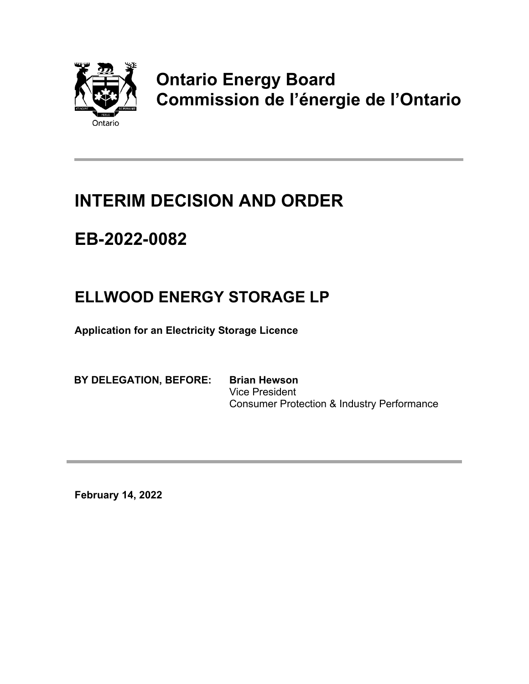

# **Ontario Energy Board Commission de l'énergie de l'Ontario**

### **INTERIM DECISION AND ORDER**

## **EB-2022-0082**

### **ELLWOOD ENERGY STORAGE LP**

**Application for an Electricity Storage Licence** 

**BY DELEGATION, BEFORE: Brian Hewson**

Vice President Consumer Protection & Industry Performance

**February 14, 2022**